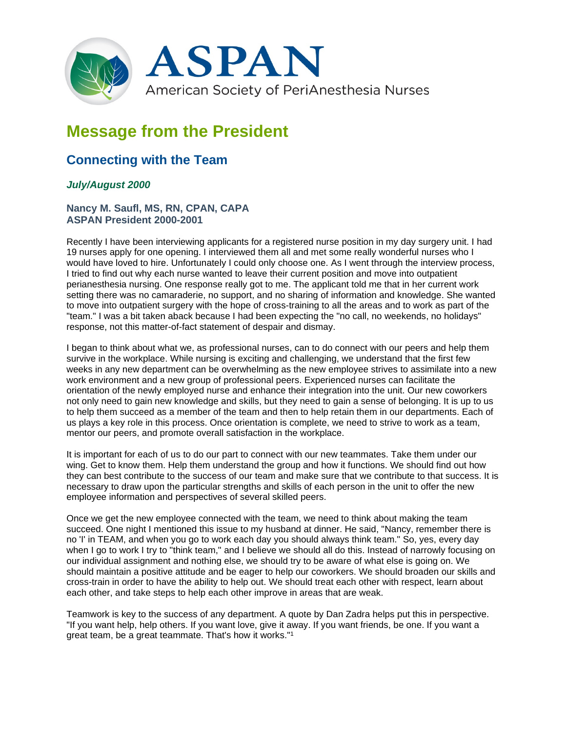

# **Message from the President**

# **Connecting with the Team**

## *July/August 2000*

#### **Nancy M. Saufl, MS, RN, CPAN, CAPA ASPAN President 2000-2001**

Recently I have been interviewing applicants for a registered nurse position in my day surgery unit. I had 19 nurses apply for one opening. I interviewed them all and met some really wonderful nurses who I would have loved to hire. Unfortunately I could only choose one. As I went through the interview process, I tried to find out why each nurse wanted to leave their current position and move into outpatient perianesthesia nursing. One response really got to me. The applicant told me that in her current work setting there was no camaraderie, no support, and no sharing of information and knowledge. She wanted to move into outpatient surgery with the hope of cross-training to all the areas and to work as part of the "team." I was a bit taken aback because I had been expecting the "no call, no weekends, no holidays" response, not this matter-of-fact statement of despair and dismay.

I began to think about what we, as professional nurses, can to do connect with our peers and help them survive in the workplace. While nursing is exciting and challenging, we understand that the first few weeks in any new department can be overwhelming as the new employee strives to assimilate into a new work environment and a new group of professional peers. Experienced nurses can facilitate the orientation of the newly employed nurse and enhance their integration into the unit. Our new coworkers not only need to gain new knowledge and skills, but they need to gain a sense of belonging. It is up to us to help them succeed as a member of the team and then to help retain them in our departments. Each of us plays a key role in this process. Once orientation is complete, we need to strive to work as a team, mentor our peers, and promote overall satisfaction in the workplace.

It is important for each of us to do our part to connect with our new teammates. Take them under our wing. Get to know them. Help them understand the group and how it functions. We should find out how they can best contribute to the success of our team and make sure that we contribute to that success. It is necessary to draw upon the particular strengths and skills of each person in the unit to offer the new employee information and perspectives of several skilled peers.

Once we get the new employee connected with the team, we need to think about making the team succeed. One night I mentioned this issue to my husband at dinner. He said, "Nancy, remember there is no 'I' in TEAM, and when you go to work each day you should always think team." So, yes, every day when I go to work I try to "think team," and I believe we should all do this. Instead of narrowly focusing on our individual assignment and nothing else, we should try to be aware of what else is going on. We should maintain a positive attitude and be eager to help our coworkers. We should broaden our skills and cross-train in order to have the ability to help out. We should treat each other with respect, learn about each other, and take steps to help each other improve in areas that are weak.

Teamwork is key to the success of any department. A quote by Dan Zadra helps put this in perspective. "If you want help, help others. If you want love, give it away. If you want friends, be one. If you want a great team, be a great teammate. That's how it works."1